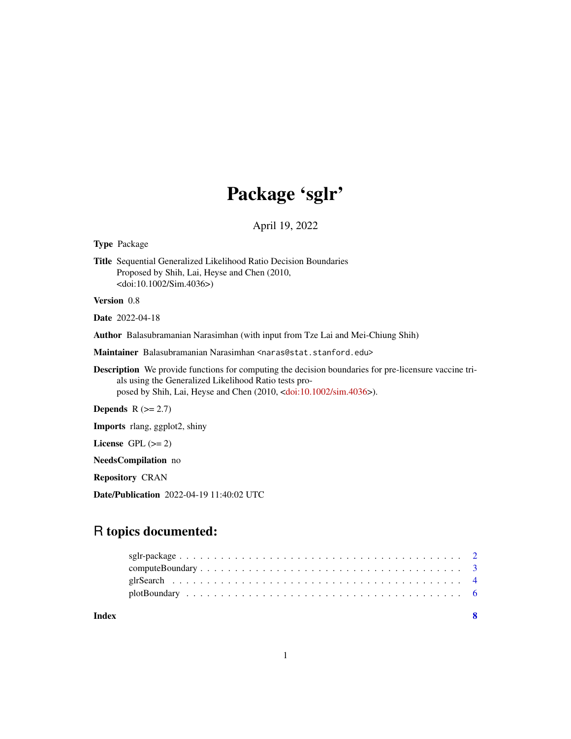# Package 'sglr'

April 19, 2022

Type Package

Title Sequential Generalized Likelihood Ratio Decision Boundaries Proposed by Shih, Lai, Heyse and Chen (2010, <doi:10.1002/Sim.4036>)

Version 0.8

Date 2022-04-18

Author Balasubramanian Narasimhan (with input from Tze Lai and Mei-Chiung Shih)

Maintainer Balasubramanian Narasimhan <naras@stat.stanford.edu>

Description We provide functions for computing the decision boundaries for pre-licensure vaccine trials using the Generalized Likelihood Ratio tests proposed by Shih, Lai, Heyse and Chen (2010, [<doi:10.1002/sim.4036>](https://doi.org/10.1002/sim.4036)).

Depends  $R$  ( $>= 2.7$ )

Imports rlang, ggplot2, shiny

License GPL  $(>= 2)$ 

NeedsCompilation no

Repository CRAN

Date/Publication 2022-04-19 11:40:02 UTC

# R topics documented:

| Index |  |
|-------|--|
|       |  |
|       |  |
|       |  |
|       |  |

1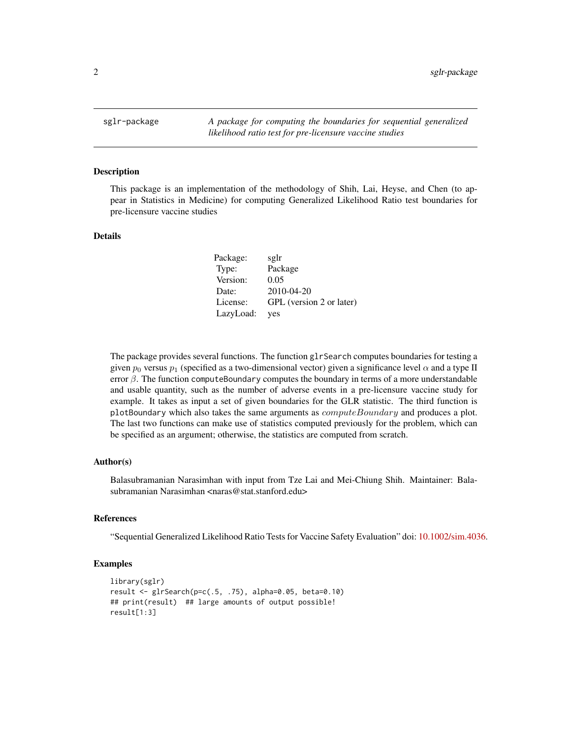<span id="page-1-0"></span>sglr-package *A package for computing the boundaries for sequential generalized likelihood ratio test for pre-licensure vaccine studies*

#### Description

This package is an implementation of the methodology of Shih, Lai, Heyse, and Chen (to appear in Statistics in Medicine) for computing Generalized Likelihood Ratio test boundaries for pre-licensure vaccine studies

#### Details

| Package:  | sglr                     |
|-----------|--------------------------|
| Type:     | Package                  |
| Version:  | 0.05                     |
| Date:     | $2010 - 04 - 20$         |
| License:  | GPL (version 2 or later) |
| LazyLoad: | ves                      |

The package provides several functions. The function glrSearch computes boundaries for testing a given  $p_0$  versus  $p_1$  (specified as a two-dimensional vector) given a significance level  $\alpha$  and a type II error  $\beta$ . The function computeBoundary computes the boundary in terms of a more understandable and usable quantity, such as the number of adverse events in a pre-licensure vaccine study for example. It takes as input a set of given boundaries for the GLR statistic. The third function is plotBoundary which also takes the same arguments as  $computeBoundary$  and produces a plot. The last two functions can make use of statistics computed previously for the problem, which can be specified as an argument; otherwise, the statistics are computed from scratch.

#### Author(s)

Balasubramanian Narasimhan with input from Tze Lai and Mei-Chiung Shih. Maintainer: Balasubramanian Narasimhan <naras@stat.stanford.edu>

#### References

"Sequential Generalized Likelihood Ratio Tests for Vaccine Safety Evaluation" doi: [10.1002/sim.4036.](https://doi.org/10.1002/sim.4036)

#### Examples

```
library(sglr)
result <- glrSearch(p=c(.5, .75), alpha=0.05, beta=0.10)
## print(result) ## large amounts of output possible!
result[1:3]
```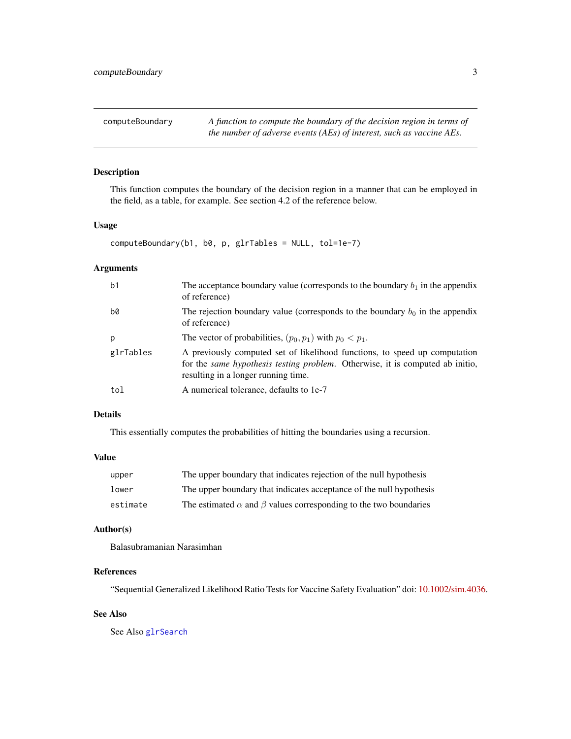<span id="page-2-0"></span>computeBoundary *A function to compute the boundary of the decision region in terms of the number of adverse events (AEs) of interest, such as vaccine AEs.*

#### Description

This function computes the boundary of the decision region in a manner that can be employed in the field, as a table, for example. See section 4.2 of the reference below.

#### Usage

computeBoundary(b1, b0, p, glrTables = NULL, tol=1e-7)

#### Arguments

| b <sub>1</sub> | The acceptance boundary value (corresponds to the boundary $b_1$ in the appendix<br>of reference)                                                                                                  |
|----------------|----------------------------------------------------------------------------------------------------------------------------------------------------------------------------------------------------|
| b0             | The rejection boundary value (corresponds to the boundary $b_0$ in the appendix<br>of reference)                                                                                                   |
| p              | The vector of probabilities, $(p_0, p_1)$ with $p_0 < p_1$ .                                                                                                                                       |
| glrTables      | A previously computed set of likelihood functions, to speed up computation<br>for the same hypothesis testing problem. Otherwise, it is computed ab initio,<br>resulting in a longer running time. |
| tol            | A numerical tolerance, defaults to 1e-7                                                                                                                                                            |

#### Details

This essentially computes the probabilities of hitting the boundaries using a recursion.

#### Value

| upper    | The upper boundary that indicates rejection of the null hypothesis            |
|----------|-------------------------------------------------------------------------------|
| lower    | The upper boundary that indicates acceptance of the null hypothesis           |
| estimate | The estimated $\alpha$ and $\beta$ values corresponding to the two boundaries |

#### Author(s)

Balasubramanian Narasimhan

#### References

"Sequential Generalized Likelihood Ratio Tests for Vaccine Safety Evaluation" doi: [10.1002/sim.4036.](https://doi.org/10.1002/sim.4036)

#### See Also

See Also [glrSearch](#page-3-1)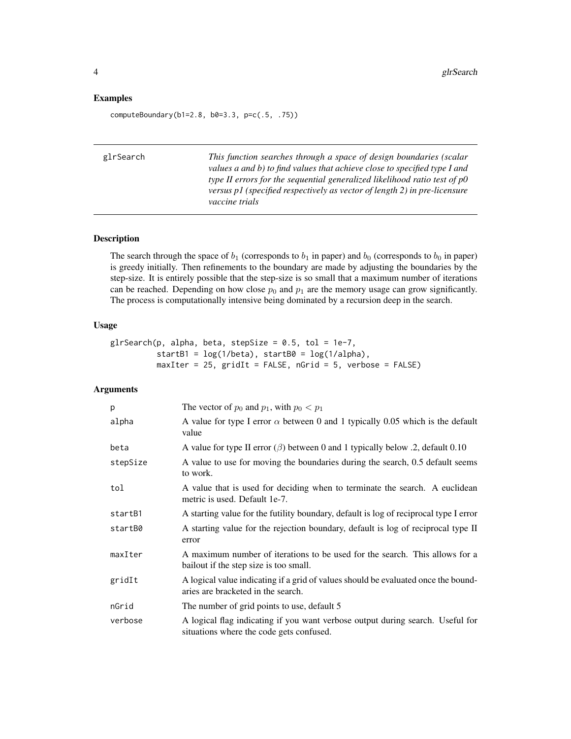#### <span id="page-3-0"></span>Examples

computeBoundary(b1=2.8, b0=3.3, p=c(.5, .75))

<span id="page-3-1"></span>

| glrSearch | This function searches through a space of design boundaries (scalar<br>values a and b) to find values that achieve close to specified type I and<br>type II errors for the sequential generalized likelihood ratio test of $p0$<br>versus p1 (specified respectively as vector of length 2) in pre-licensure<br>vaccine trials |
|-----------|--------------------------------------------------------------------------------------------------------------------------------------------------------------------------------------------------------------------------------------------------------------------------------------------------------------------------------|
|           |                                                                                                                                                                                                                                                                                                                                |

#### Description

The search through the space of  $b_1$  (corresponds to  $b_1$  in paper) and  $b_0$  (corresponds to  $b_0$  in paper) is greedy initially. Then refinements to the boundary are made by adjusting the boundaries by the step-size. It is entirely possible that the step-size is so small that a maximum number of iterations can be reached. Depending on how close  $p_0$  and  $p_1$  are the memory usage can grow significantly. The process is computationally intensive being dominated by a recursion deep in the search.

#### Usage

```
glrSearch(p, alpha, beta, stepSize = 0.5, tol = 1e-7,startB1 = log(1/beta), startB0 = log(1/alpha),maxIter = 25, gridIt = FALSE, nGrid = 5, verbose = FALSE)
```
## Arguments

| p        | The vector of $p_0$ and $p_1$ , with $p_0 < p_1$                                                                           |
|----------|----------------------------------------------------------------------------------------------------------------------------|
| alpha    | A value for type I error $\alpha$ between 0 and 1 typically 0.05 which is the default<br>value                             |
| beta     | A value for type II error $(\beta)$ between 0 and 1 typically below .2, default 0.10                                       |
| stepSize | A value to use for moving the boundaries during the search, 0.5 default seems<br>to work.                                  |
| tol      | A value that is used for deciding when to terminate the search. A euclidean<br>metric is used. Default 1e-7.               |
| startB1  | A starting value for the futility boundary, default is log of reciprocal type I error                                      |
| startB0  | A starting value for the rejection boundary, default is log of reciprocal type II<br>error                                 |
| maxIter  | A maximum number of iterations to be used for the search. This allows for a<br>bailout if the step size is too small.      |
| gridIt   | A logical value indicating if a grid of values should be evaluated once the bound-<br>aries are bracketed in the search.   |
| nGrid    | The number of grid points to use, default 5                                                                                |
| verbose  | A logical flag indicating if you want verbose output during search. Useful for<br>situations where the code gets confused. |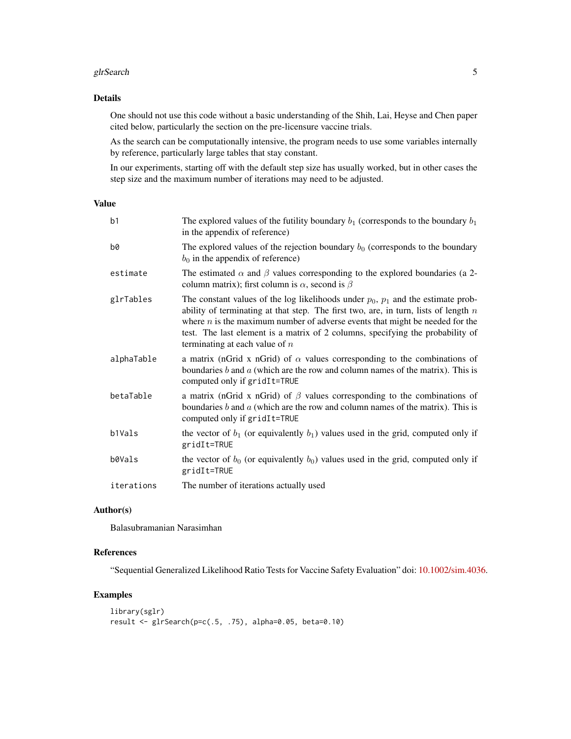#### glrSearch 5 and 5 and 5 and 5 and 5 and 5 and 5 and 5 and 5 and 5 and 5 and 5 and 5 and 5 and 5 and 5 and 5 and 5 and 5 and 5 and 5 and 5 and 5 and 5 and 5 and 5 and 5 and 5 and 5 and 5 and 5 and 5 and 5 and 5 and 5 and 5

#### Details

One should not use this code without a basic understanding of the Shih, Lai, Heyse and Chen paper cited below, particularly the section on the pre-licensure vaccine trials.

As the search can be computationally intensive, the program needs to use some variables internally by reference, particularly large tables that stay constant.

In our experiments, starting off with the default step size has usually worked, but in other cases the step size and the maximum number of iterations may need to be adjusted.

#### Value

| b1         | The explored values of the futility boundary $b_1$ (corresponds to the boundary $b_1$<br>in the appendix of reference)                                                                                                                                                                                                                                                                 |
|------------|----------------------------------------------------------------------------------------------------------------------------------------------------------------------------------------------------------------------------------------------------------------------------------------------------------------------------------------------------------------------------------------|
| b0         | The explored values of the rejection boundary $b_0$ (corresponds to the boundary<br>$b_0$ in the appendix of reference)                                                                                                                                                                                                                                                                |
| estimate   | The estimated $\alpha$ and $\beta$ values corresponding to the explored boundaries (a 2-<br>column matrix); first column is $\alpha$ , second is $\beta$                                                                                                                                                                                                                               |
| glrTables  | The constant values of the log likelihoods under $p_0$ , $p_1$ and the estimate prob-<br>ability of terminating at that step. The first two, are, in turn, lists of length $n$<br>where $n$ is the maximum number of adverse events that might be needed for the<br>test. The last element is a matrix of 2 columns, specifying the probability of<br>terminating at each value of $n$ |
| alphaTable | a matrix (nGrid x nGrid) of $\alpha$ values corresponding to the combinations of<br>boundaries $b$ and $a$ (which are the row and column names of the matrix). This is<br>computed only if gridIt=TRUE                                                                                                                                                                                 |
| betaTable  | a matrix (nGrid x nGrid) of $\beta$ values corresponding to the combinations of<br>boundaries $b$ and $a$ (which are the row and column names of the matrix). This is<br>computed only if gridIt=TRUE                                                                                                                                                                                  |
| b1Vals     | the vector of $b_1$ (or equivalently $b_1$ ) values used in the grid, computed only if<br>gridIt=TRUE                                                                                                                                                                                                                                                                                  |
| b0Vals     | the vector of $b_0$ (or equivalently $b_0$ ) values used in the grid, computed only if<br>gridIt=TRUE                                                                                                                                                                                                                                                                                  |
| iterations | The number of iterations actually used                                                                                                                                                                                                                                                                                                                                                 |
|            |                                                                                                                                                                                                                                                                                                                                                                                        |

#### Author(s)

Balasubramanian Narasimhan

#### References

"Sequential Generalized Likelihood Ratio Tests for Vaccine Safety Evaluation" doi: [10.1002/sim.4036.](https://doi.org/10.1002/sim.4036)

#### Examples

```
library(sglr)
result <- glrSearch(p=c(.5, .75), alpha=0.05, beta=0.10)
```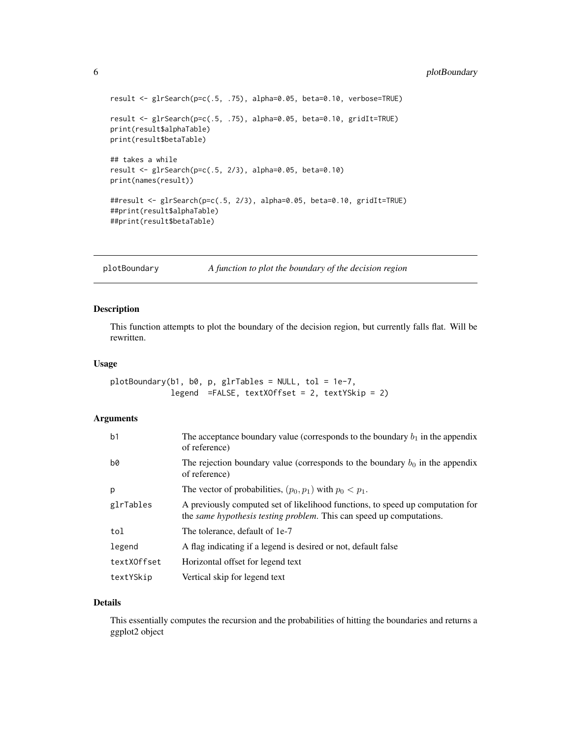```
result <- glrSearch(p=c(.5, .75), alpha=0.05, beta=0.10, verbose=TRUE)
result <- glrSearch(p=c(.5, .75), alpha=0.05, beta=0.10, gridIt=TRUE)
print(result$alphaTable)
print(result$betaTable)
## takes a while
result <- glrSearch(p=c(.5, 2/3), alpha=0.05, beta=0.10)
print(names(result))
##result <- glrSearch(p=c(.5, 2/3), alpha=0.05, beta=0.10, gridIt=TRUE)
##print(result$alphaTable)
##print(result$betaTable)
```
plotBoundary *A function to plot the boundary of the decision region*

#### Description

This function attempts to plot the boundary of the decision region, but currently falls flat. Will be rewritten.

#### Usage

```
plotBoundary(b1, b0, p, glrTables = NULL, tol = 1e-7,
             legend =FALSE, textXOffset = 2, textYSkip = 2)
```
#### Arguments

| b <sub>1</sub> | The acceptance boundary value (corresponds to the boundary $b_1$ in the appendix<br>of reference)                                                              |
|----------------|----------------------------------------------------------------------------------------------------------------------------------------------------------------|
| b0             | The rejection boundary value (corresponds to the boundary $b_0$ in the appendix<br>of reference)                                                               |
| p              | The vector of probabilities, $(p_0, p_1)$ with $p_0 < p_1$ .                                                                                                   |
| glrTables      | A previously computed set of likelihood functions, to speed up computation for<br>the <i>same hypothesis testing problem</i> . This can speed up computations. |
| tol            | The tolerance, default of 1e-7                                                                                                                                 |
| legend         | A flag indicating if a legend is desired or not, default false                                                                                                 |
| textXOffset    | Horizontal offset for legend text                                                                                                                              |
| textYSkip      | Vertical skip for legend text                                                                                                                                  |

#### Details

This essentially computes the recursion and the probabilities of hitting the boundaries and returns a ggplot2 object

<span id="page-5-0"></span>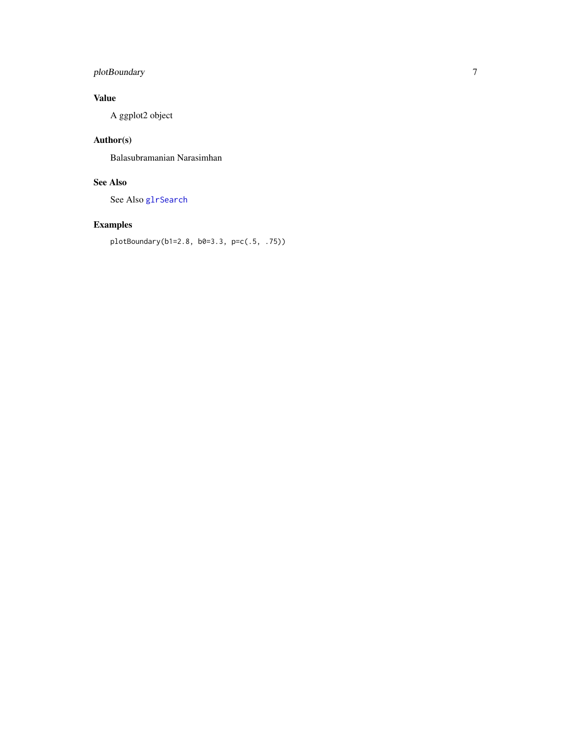## <span id="page-6-0"></span>plotBoundary 7

## Value

A ggplot2 object

# Author(s)

Balasubramanian Narasimhan

# See Also

See Also [glrSearch](#page-3-1)

# Examples

```
plotBoundary(b1=2.8, b0=3.3, p=c(.5, .75))
```